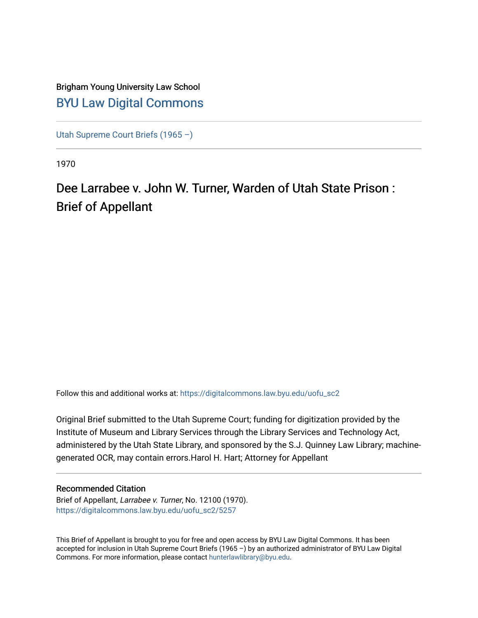# Brigham Young University Law School [BYU Law Digital Commons](https://digitalcommons.law.byu.edu/)

[Utah Supreme Court Briefs \(1965 –\)](https://digitalcommons.law.byu.edu/uofu_sc2)

1970

# Dee Larrabee v. John W. Turner, Warden of Utah State Prison : Brief of Appellant

Follow this and additional works at: [https://digitalcommons.law.byu.edu/uofu\\_sc2](https://digitalcommons.law.byu.edu/uofu_sc2?utm_source=digitalcommons.law.byu.edu%2Fuofu_sc2%2F5257&utm_medium=PDF&utm_campaign=PDFCoverPages)

Original Brief submitted to the Utah Supreme Court; funding for digitization provided by the Institute of Museum and Library Services through the Library Services and Technology Act, administered by the Utah State Library, and sponsored by the S.J. Quinney Law Library; machinegenerated OCR, may contain errors.Harol H. Hart; Attorney for Appellant

### Recommended Citation

Brief of Appellant, Larrabee v. Turner, No. 12100 (1970). [https://digitalcommons.law.byu.edu/uofu\\_sc2/5257](https://digitalcommons.law.byu.edu/uofu_sc2/5257?utm_source=digitalcommons.law.byu.edu%2Fuofu_sc2%2F5257&utm_medium=PDF&utm_campaign=PDFCoverPages) 

This Brief of Appellant is brought to you for free and open access by BYU Law Digital Commons. It has been accepted for inclusion in Utah Supreme Court Briefs (1965 –) by an authorized administrator of BYU Law Digital Commons. For more information, please contact [hunterlawlibrary@byu.edu](mailto:hunterlawlibrary@byu.edu).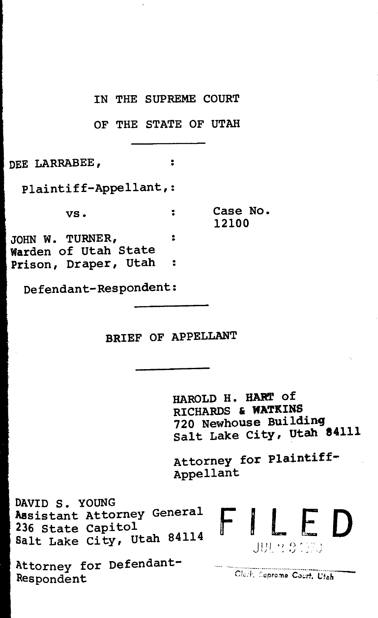IN THE SUPREME COURT

OF THE STATE OF UTAH

 $\overline{\mathbf{r}}$ 

DEE LARRABEE,

Plaintiff-Appellant,:

 $\mathsf{vs.}$  .

Case No. 12100

JOHN W. TURNER, : Warden of Utah State Prison, Draper, Utah  $\ddot{\phantom{a}}$ 

Defendant-Respondent:

BRIEF OF APPELLANT

HAROLD H. HART of RICHARDS & WATKINS<br>720 Newhouse Building Salt Lake City, Utah 84111

Attorney for Plaintiff-Appellant

DAVID S. YOUNG Assistant Attorney General<br>236 State Capitol Assistant Attorney General  $\begin{array}{c} \leftarrow \begin{array}{ccc} \end{array}$ <br>236 State Capitol<br>Salt Lake City, Utah 84114

Attorney for Defendant-Respondent

Clerk, Suprome Court, Utah

j 111 • ) ,.\_, , ' -- I *<sup>j</sup>*• f.) ' "' *'.)*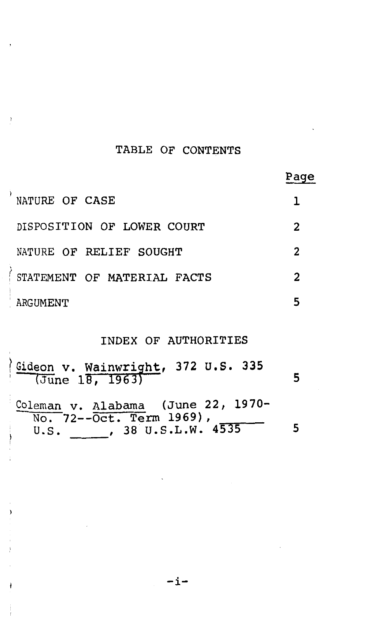# TABLE OF CONTENTS

| NATURE OF CASE              |                |
|-----------------------------|----------------|
| DISPOSITION OF LOWER COURT  | 2              |
| NATURE OF RELIEF SOUGHT     | 2              |
| STATEMENT OF MATERIAL FACTS | $\overline{2}$ |
| ARGUMENT                    | 5              |
|                             |                |

## INDEX OF AUTHORITIES

| (Gideon v. Wainwright, 372 U.S. 335<br>June 18, 1963)    |  |
|----------------------------------------------------------|--|
| Coleman v. Alabama (June 22, 1970-                       |  |
| No. 72--Oct. Term 1969),<br>, 38 U.S.L.W. $4535$<br>U.S. |  |

-i-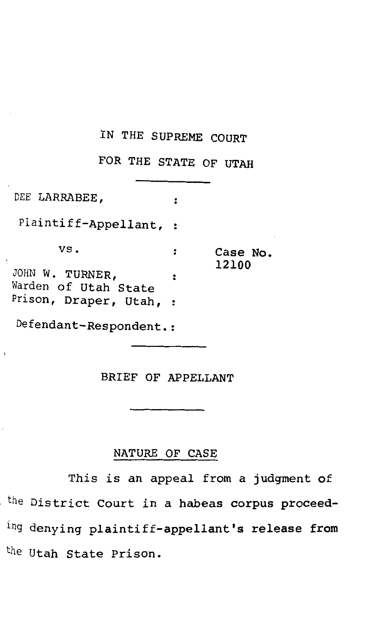## IN THE SUPREME COURT

FOR THE STATE OF UTAH

DEE LARRABEE ,  $\ddot{\cdot}$ Plaintiff-Appellant, : vs.  $\ddot{\phantom{a}}$ Case No. 12100 JOHN W. TURNER,  $\ddot{\cdot}$ Warden of Utah State Prison, Draper, Utah, : Defendant-Respondent.:

 $\overline{\phantom{a}}$ 

BRIEF OF APPELLANT

#### NATURE OF CASE

This is an appeal from a judgment of the District Court in a habeas corpus proceeding denying plaintiff-appellant's release from the Utah State Prison.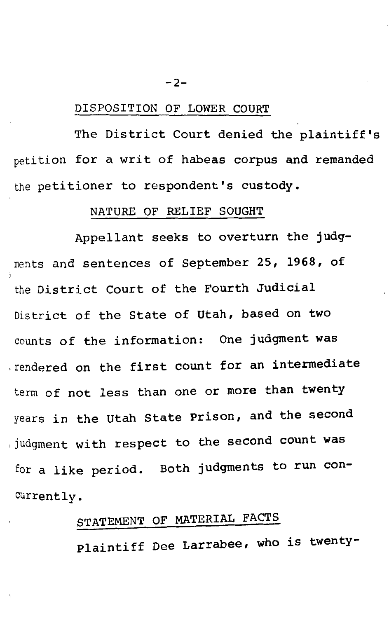#### $-2-$

#### DISPOSITION OF LOWER COURT

The District Court denied the plaintiff's petition for a writ of habeas corpus and remanded the petitioner to respondent's custody.

#### NATURE OF RELIEF SOUGHT

Appellant seeks to overturn the judgments and sentences of September 25, 1968, of the District Court of the Fourth Judicial District of the State of Utah, based on two counts of the information: One judgment was .rendered on the first count for an intermediate term of not less than one or more than twenty years in the Utah State Prison, and the second ,judgment with respect to the second count was for a like period. Both judgments to run concurrently.

# STATEMENT OF MATERIAL FACTS

Plaintiff Dee Larrabee, who is twenty-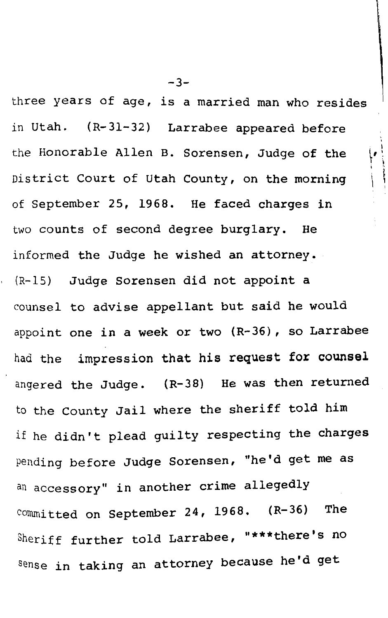three years of age, is a married man who resides in Utah. (R-31-32) Larrabee appeared before the Honorable Allen B. Sorensen, Judge of the District Court of Utah County, on the morning of September 25, 1968. He faced charges in two counts of second degree burglary. He informed the Judge he wished an attorney. {R-15) Judge Sorensen did not appoint a counsel to advise appellant but said he would appoint one in a week or two (R-36), so Larrabee had the impression that his request for counsel angered the Judge. (R-38) He was then returned to the County Jail where the sheriff told him if he didn't plead guilty respecting the charges Pending before Judge Sorensen, "he'd get me as an accessory" in another crime allegedly committed on September 24, 1968. (R-36) The Sheriff further told Larrabee, "\*\*\*there's no sense in taking an attorney because he'd get

 $-3-$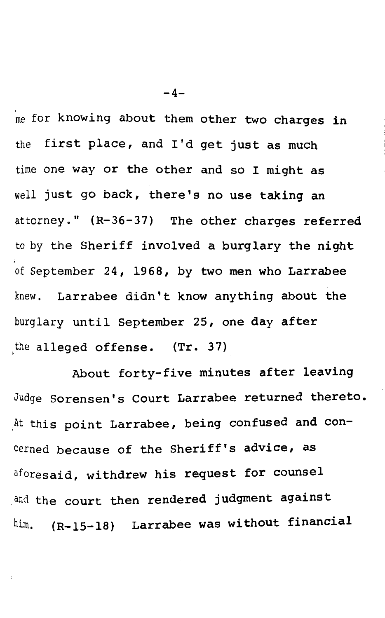me for knowing about them other two charges in the first place, and I'd get just as much time one way or the other and so I might as well just go back, there's no use taking an attorney." (R-36-37) The other charges referred to by the Sheriff involved a burglary the night of September 24, 1968, by two men who Larrabee knew. Larrabee didn't know anything about the burglary until September 25, one day after the alleged offense. (Tr. 37)

About forty-five minutes after leaving Judge Sorensen's Court Larrabee returned thereto • At this point Larrabee, being confused and concerned because of the Sheriff's advice, as aforesaid, withdrew his request for counsel and the court then rendered judgment against him. (R-15-18) Larrabee was without financial

 $-4-$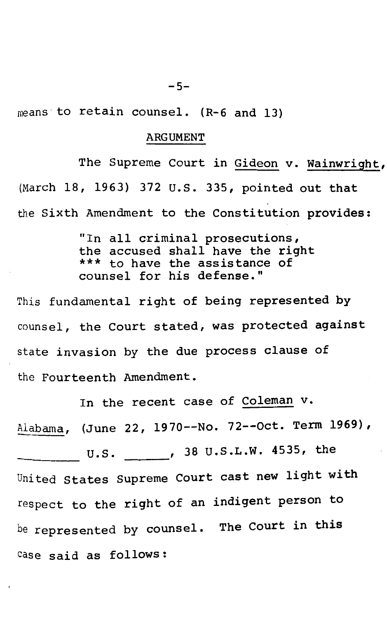means· to retain counsel. (R-6 and 13)

#### ARGUMENT

The Supreme Court in Gideon v. Wainwright, (March 18, 1963) 372 U.S. 335, pointed out that the Sixth Amendment to the Constitution provides:

> "In all criminal prosecutions, the accused shall have the right<br>\*\*\* to have the assistance of counsel for his defense."

This fundamental right of being represented by counsel, the Court stated, was protected against state invasion by the due process clause of the Fourteenth Amendment.

In the recent case of Coleman v. Alabama, (June 22, 1970--No. 72--0ct. Term 1969), U.S. , 38 u.s.L.w. 4535, the --- United states Supreme Court cast new light with respect to the right of an indigent person to be represented by counsel. The Court in this case said as follows: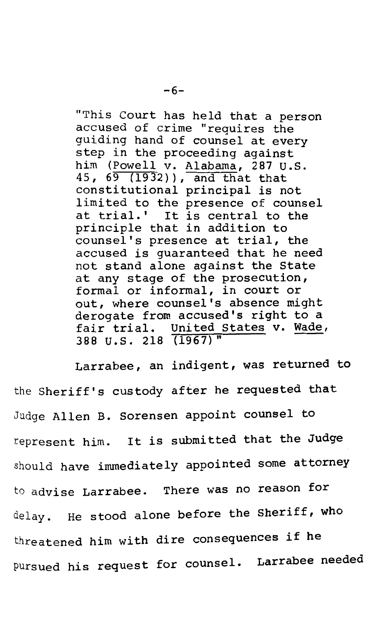"This Court has held that a person accused of crime "requires the guiding hand of counsel at every step in the proceeding against him (Powell v. Alabama, 287 U.S. 45, 69 (1932)), and that that constitutional principal is not limited to the presence of counsel at trial.' It is central to the principle that in addition to counsel's presence at trial, the accused is guaranteed that he need not stand alone against the State at any stage of the prosecution, formal or informal, in court or out, where counsel's absence might derogate from accused's right to a fair trial. United States v. Wade, 388 u.s. 218 (1967)" -

Larrabee, an indigent, was returned to the Sheriff's custody after he requested that Judge Allen B. Sorensen appoint counsel to represent him. It is submitted that the Judge should have immediately appointed some attorney to advise Larrabee. There was no reason for delay. He stood alone before the Sheriff, who threatened him with dire consequences if he pursued his request for counsel. Larrabee needed